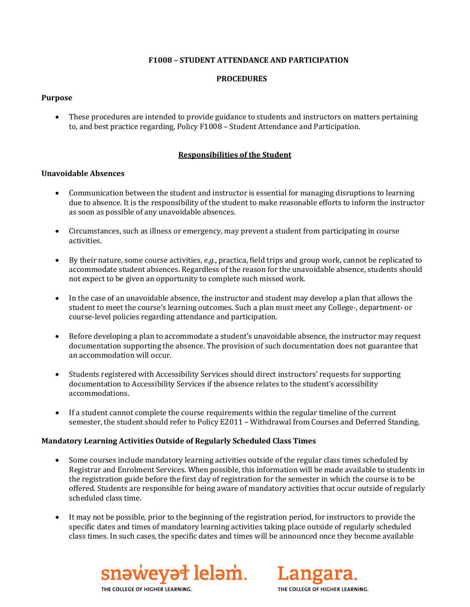# **F1008 – STUDENT ATTENDANCE AND PARTICIPATION**

# **PROCEDURES**

# **Purpose**

• These procedures are intended to provide guidance to students and instructors on matters pertaining to, and best practice regarding, Policy F1008 – Student Attendance and Participation.

# **Responsibilities of the Student**

# **Unavoidable Absences**

- Communication between the student and instructor is essential for managing disruptions to learning due to absence. It is the responsibility of the student to make reasonable efforts to inform the instructor as soon as possible of any unavoidable absences.
- Circumstances, such as illness or emergency, may prevent a student from participating in course activities.
- By their nature, some course activities, *e.g.*, practica, field trips and group work, cannot be replicated to accommodate student absences. Regardless of the reason for the unavoidable absence, students should not expect to be given an opportunity to complete such missed work.
- In the case of an unavoidable absence, the instructor and student may develop a plan that allows the student to meet the course's learning outcomes. Such a plan must meet any College-, department- or course-level policies regarding attendance and participation.
- Before developing a plan to accommodate a student's unavoidable absence, the instructor may request documentation supporting the absence. The provision of such documentation does not guarantee that an accommodation will occur.
- Students registered with Accessibility Services should direct instructors' requests for supporting documentation to Accessibility Services if the absence relates to the student's accessibility accommodations.
- If a student cannot complete the course requirements within the regular timeline of the current semester, the student should refer to Policy E2011 – Withdrawal from Courses and Deferred Standing.

# **Mandatory Learning Activities Outside of Regularly Scheduled Class Times**

- Some courses include mandatory learning activities outside of the regular class times scheduled by Registrar and Enrolment Services. When possible, this information will be made available to students in the registration guide before the first day of registration for the semester in which the course is to be offered. Students are responsible for being aware of mandatory activities that occur outside of regularly scheduled class time.
- It may not be possible, prior to the beginning of the registration period, for instructors to provide the specific dates and times of mandatory learning activities taking place outside of regularly scheduled class times. In such cases, the specific dates and times will be announced once they become available



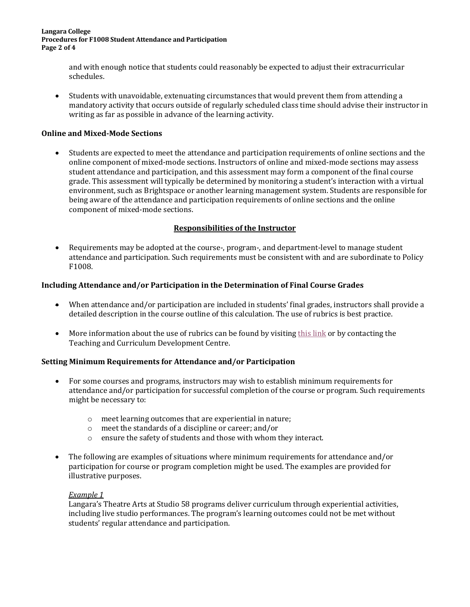#### **Langara College Procedures for F1008 Student Attendance and Participation Page 2 of 4**

and with enough notice that students could reasonably be expected to adjust their extracurricular schedules.

• Students with unavoidable, extenuating circumstances that would prevent them from attending a mandatory activity that occurs outside of regularly scheduled class time should advise their instructor in writing as far as possible in advance of the learning activity.

# **Online and Mixed-Mode Sections**

• Students are expected to meet the attendance and participation requirements of online sections and the online component of mixed-mode sections. Instructors of online and mixed-mode sections may assess student attendance and participation, and this assessment may form a component of the final course grade. This assessment will typically be determined by monitoring a student's interaction with a virtual environment, such as Brightspace or another learning management system. Students are responsible for being aware of the attendance and participation requirements of online sections and the online component of mixed-mode sections.

# **Responsibilities of the Instructor**

• Requirements may be adopted at the course-, program-, and department-level to manage student attendance and participation. Such requirements must be consistent with and are subordinate to Policy F1008.

# **Including Attendance and/or Participation in the Determination of Final Course Grades**

- When attendance and/or participation are included in students' final grades, instructors shall provide a detailed description in the course outline of this calculation. The use of rubrics is best practice.
- More information about the use of rubrics can be found by visitin[g this link](https://iweb.langara.bc.ca/tcdc/resources/teaching-resources/rubrics/) or by contacting the Teaching and Curriculum Development Centre.

# **Setting Minimum Requirements for Attendance and/or Participation**

- For some courses and programs, instructors may wish to establish minimum requirements for attendance and/or participation for successful completion of the course or program. Such requirements might be necessary to:
	- o meet learning outcomes that are experiential in nature;
	- o meet the standards of a discipline or career; and/or
	- o ensure the safety of students and those with whom they interact.
- The following are examples of situations where minimum requirements for attendance and/or participation for course or program completion might be used. The examples are provided for illustrative purposes.

# *Example 1*

Langara's Theatre Arts at Studio 58 programs deliver curriculum through experiential activities, including live studio performances. The program's learning outcomes could not be met without students' regular attendance and participation.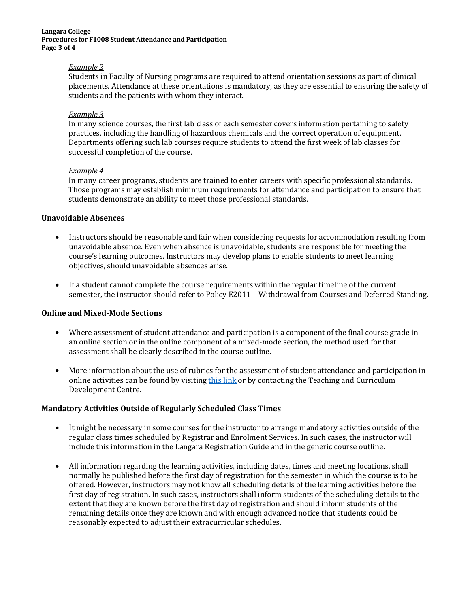#### **Langara College Procedures for F1008 Student Attendance and Participation Page 3 of 4**

### *Example 2*

Students in Faculty of Nursing programs are required to attend orientation sessions as part of clinical placements. Attendance at these orientations is mandatory, as they are essential to ensuring the safety of students and the patients with whom they interact.

## *Example 3*

In many science courses, the first lab class of each semester covers information pertaining to safety practices, including the handling of hazardous chemicals and the correct operation of equipment. Departments offering such lab courses require students to attend the first week of lab classes for successful completion of the course.

### *Example 4*

In many career programs, students are trained to enter careers with specific professional standards. Those programs may establish minimum requirements for attendance and participation to ensure that students demonstrate an ability to meet those professional standards.

## **Unavoidable Absences**

- Instructors should be reasonable and fair when considering requests for accommodation resulting from unavoidable absence. Even when absence is unavoidable, students are responsible for meeting the course's learning outcomes. Instructors may develop plans to enable students to meet learning objectives, should unavoidable absences arise.
- If a student cannot complete the course requirements within the regular timeline of the current semester, the instructor should refer to Policy E2011 – Withdrawal from Courses and Deferred Standing.

# **Online and Mixed-Mode Sections**

- Where assessment of student attendance and participation is a component of the final course grade in an online section or in the online component of a mixed-mode section, the method used for that assessment shall be clearly described in the course outline.
- More information about the use of rubrics for the assessment of student attendance and participation in online activities can be found by visiting [this link](https://iweb.langara.bc.ca/tcdc/resources/teaching-resources/rubrics/) or by contacting the Teaching and Curriculum Development Centre.

# **Mandatory Activities Outside of Regularly Scheduled Class Times**

- It might be necessary in some courses for the instructor to arrange mandatory activities outside of the regular class times scheduled by Registrar and Enrolment Services. In such cases, the instructor will include this information in the Langara Registration Guide and in the generic course outline.
- All information regarding the learning activities, including dates, times and meeting locations, shall normally be published before the first day of registration for the semester in which the course is to be offered. However, instructors may not know all scheduling details of the learning activities before the first day of registration. In such cases, instructors shall inform students of the scheduling details to the extent that they are known before the first day of registration and should inform students of the remaining details once they are known and with enough advanced notice that students could be reasonably expected to adjust their extracurricular schedules.